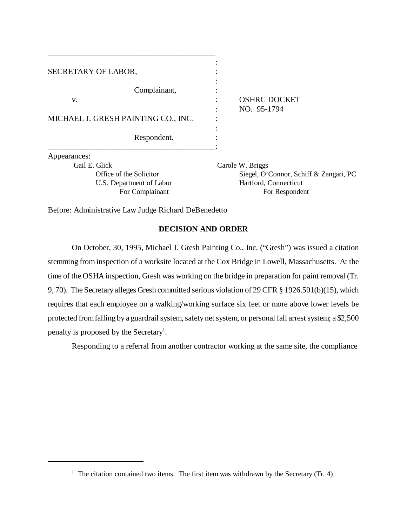| SECRETARY OF LABOR,                         |                                         |
|---------------------------------------------|-----------------------------------------|
| Complainant,<br>V.                          | <b>OSHRC DOCKET</b><br>NO. 95-1794      |
| MICHAEL J. GRESH PAINTING CO., INC.         |                                         |
| Respondent.                                 |                                         |
| Appearances:                                |                                         |
| Gail E. Glick                               | Carole W. Briggs                        |
| Office of the Solicitor                     | Siegel, O'Connor, Schiff &              |
| U.S. Department of Labor<br>For Complainant | Hartford, Connecticut<br>For Respondent |

Before: Administrative Law Judge Richard DeBenedetto

\_\_\_\_\_\_\_\_\_\_\_\_\_\_\_\_\_\_\_\_\_\_\_\_\_\_\_\_\_\_\_\_\_\_\_\_\_\_\_\_\_\_

# **DECISION AND ORDER**

Zangari, PC

On October, 30, 1995, Michael J. Gresh Painting Co., Inc. ("Gresh") was issued a citation stemming from inspection of a worksite located at the Cox Bridge in Lowell, Massachusetts. At the time of the OSHA inspection, Gresh was working on the bridge in preparation for paint removal (Tr. 9, 70). The Secretary alleges Gresh committed serious violation of 29 CFR § 1926.501(b)(15), which requires that each employee on a walking/working surface six feet or more above lower levels be protected from falling by a guardrail system, safety net system, or personal fall arrest system; a \$2,500 penalty is proposed by the Secretary<sup>1</sup>.

Responding to a referral from another contractor working at the same site, the compliance

<sup>&</sup>lt;sup>1</sup> The citation contained two items. The first item was withdrawn by the Secretary (Tr. 4)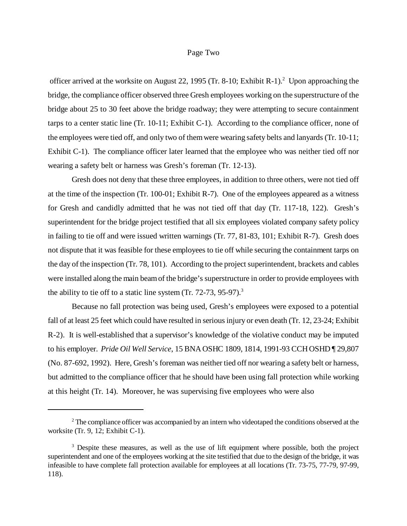#### Page Two

officer arrived at the worksite on August 22, 1995 (Tr. 8-10; Exhibit R-1).<sup>2</sup> Upon approaching the bridge, the compliance officer observed three Gresh employees working on the superstructure of the bridge about 25 to 30 feet above the bridge roadway; they were attempting to secure containment tarps to a center static line (Tr. 10-11; Exhibit C-1). According to the compliance officer, none of the employees were tied off, and only two of them were wearing safety belts and lanyards (Tr. 10-11; Exhibit C-1). The compliance officer later learned that the employee who was neither tied off nor wearing a safety belt or harness was Gresh's foreman (Tr. 12-13).

Gresh does not deny that these three employees, in addition to three others, were not tied off at the time of the inspection (Tr. 100-01; Exhibit R-7). One of the employees appeared as a witness for Gresh and candidly admitted that he was not tied off that day (Tr. 117-18, 122). Gresh's superintendent for the bridge project testified that all six employees violated company safety policy in failing to tie off and were issued written warnings (Tr. 77, 81-83, 101; Exhibit R-7). Gresh does not dispute that it was feasible for these employees to tie off while securing the containment tarps on the day of the inspection (Tr. 78, 101). According to the project superintendent, brackets and cables were installed along the main beam of the bridge's superstructure in order to provide employees with the ability to tie off to a static line system  $(Tr. 72-73, 95-97).$ <sup>3</sup>

Because no fall protection was being used, Gresh's employees were exposed to a potential fall of at least 25 feet which could have resulted in serious injury or even death (Tr. 12, 23-24; Exhibit R-2). It is well-established that a supervisor's knowledge of the violative conduct may be imputed to his employer. *Pride Oil Well Service*, 15 BNA OSHC 1809, 1814, 1991-93 CCH OSHD ¶ 29,807 (No. 87-692, 1992). Here, Gresh's foreman was neither tied off nor wearing a safety belt or harness, but admitted to the compliance officer that he should have been using fall protection while working at this height (Tr. 14). Moreover, he was supervising five employees who were also

 $2<sup>2</sup>$  The compliance officer was accompanied by an intern who videotaped the conditions observed at the worksite (Tr. 9, 12; Exhibit C-1).

<sup>&</sup>lt;sup>3</sup> Despite these measures, as well as the use of lift equipment where possible, both the project superintendent and one of the employees working at the site testified that due to the design of the bridge, it was infeasible to have complete fall protection available for employees at all locations (Tr. 73-75, 77-79, 97-99, 118).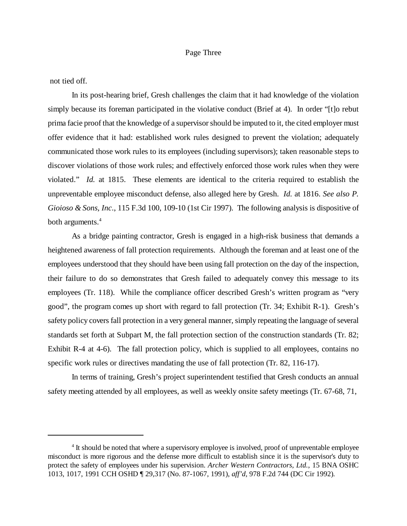## Page Three

not tied off.

In its post-hearing brief, Gresh challenges the claim that it had knowledge of the violation simply because its foreman participated in the violative conduct (Brief at 4). In order "[t]o rebut prima facie proof that the knowledge of a supervisor should be imputed to it, the cited employer must offer evidence that it had: established work rules designed to prevent the violation; adequately communicated those work rules to its employees (including supervisors); taken reasonable steps to discover violations of those work rules; and effectively enforced those work rules when they were violated." *Id.* at 1815. These elements are identical to the criteria required to establish the unpreventable employee misconduct defense, also alleged here by Gresh. *Id.* at 1816. *See also P. Gioioso & Sons, Inc*., 115 F.3d 100, 109-10 (1st Cir 1997). The following analysis is dispositive of both arguments.<sup>4</sup>

As a bridge painting contractor, Gresh is engaged in a high-risk business that demands a heightened awareness of fall protection requirements. Although the foreman and at least one of the employees understood that they should have been using fall protection on the day of the inspection, their failure to do so demonstrates that Gresh failed to adequately convey this message to its employees (Tr. 118). While the compliance officer described Gresh's written program as "very good", the program comes up short with regard to fall protection (Tr. 34; Exhibit R-1). Gresh's safety policy covers fall protection in a very general manner, simply repeating the language of several standards set forth at Subpart M, the fall protection section of the construction standards (Tr. 82; Exhibit R-4 at 4-6). The fall protection policy, which is supplied to all employees, contains no specific work rules or directives mandating the use of fall protection (Tr. 82, 116-17).

In terms of training, Gresh's project superintendent testified that Gresh conducts an annual safety meeting attended by all employees, as well as weekly onsite safety meetings (Tr. 67-68, 71,

<sup>&</sup>lt;sup>4</sup> It should be noted that where a supervisory employee is involved, proof of unpreventable employee misconduct is more rigorous and the defense more difficult to establish since it is the supervisor's duty to protect the safety of employees under his supervision. *Archer Western Contractors, Ltd.*, 15 BNA OSHC 1013, 1017, 1991 CCH OSHD ¶ 29,317 (No. 87-1067, 1991), *aff'd*, 978 F.2d 744 (DC Cir 1992)*.*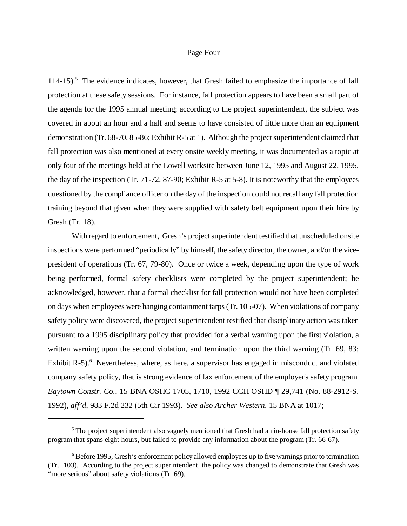## Page Four

114-15).<sup>5</sup> The evidence indicates, however, that Gresh failed to emphasize the importance of fall protection at these safety sessions. For instance, fall protection appears to have been a small part of the agenda for the 1995 annual meeting; according to the project superintendent, the subject was covered in about an hour and a half and seems to have consisted of little more than an equipment demonstration (Tr. 68-70, 85-86; Exhibit R-5 at 1). Although the project superintendent claimed that fall protection was also mentioned at every onsite weekly meeting, it was documented as a topic at only four of the meetings held at the Lowell worksite between June 12, 1995 and August 22, 1995, the day of the inspection (Tr. 71-72, 87-90; Exhibit R-5 at 5-8). It is noteworthy that the employees questioned by the compliance officer on the day of the inspection could not recall any fall protection training beyond that given when they were supplied with safety belt equipment upon their hire by Gresh (Tr. 18).

With regard to enforcement, Gresh's project superintendent testified that unscheduled onsite inspections were performed "periodically" by himself, the safety director, the owner, and/or the vicepresident of operations (Tr. 67, 79-80). Once or twice a week, depending upon the type of work being performed, formal safety checklists were completed by the project superintendent; he acknowledged, however, that a formal checklist for fall protection would not have been completed on days when employees were hanging containment tarps (Tr. 105-07). When violations of company safety policy were discovered, the project superintendent testified that disciplinary action was taken pursuant to a 1995 disciplinary policy that provided for a verbal warning upon the first violation, a written warning upon the second violation, and termination upon the third warning (Tr. 69, 83; Exhibit R-5). $<sup>6</sup>$  Nevertheless, where, as here, a supervisor has engaged in misconduct and violated</sup> company safety policy, that is strong evidence of lax enforcement of the employer's safety program. *Baytown Constr. Co.*, 15 BNA OSHC 1705, 1710, 1992 CCH OSHD ¶ 29,741 (No. 88-2912-S, 1992), *aff'd*, 983 F.2d 232 (5th Cir 1993). *See also Archer Western*, 15 BNA at 1017;

<sup>&</sup>lt;sup>5</sup> The project superintendent also vaguely mentioned that Gresh had an in-house fall protection safety program that spans eight hours, but failed to provide any information about the program (Tr. 66-67).

<sup>&</sup>lt;sup>6</sup> Before 1995, Gresh's enforcement policy allowed employees up to five warnings prior to termination (Tr. 103). According to the project superintendent, the policy was changed to demonstrate that Gresh was "more serious" about safety violations (Tr. 69).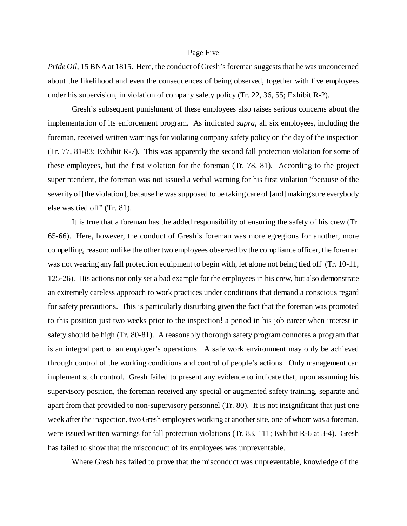#### Page Five

*Pride Oil*, 15 BNA at 1815. Here, the conduct of Gresh's foreman suggests that he was unconcerned about the likelihood and even the consequences of being observed, together with five employees under his supervision, in violation of company safety policy (Tr. 22, 36, 55; Exhibit R-2).

Gresh's subsequent punishment of these employees also raises serious concerns about the implementation of its enforcement program. As indicated *supra*, all six employees, including the foreman, received written warnings for violating company safety policy on the day of the inspection (Tr. 77, 81-83; Exhibit R-7). This was apparently the second fall protection violation for some of these employees, but the first violation for the foreman (Tr. 78, 81). According to the project superintendent, the foreman was not issued a verbal warning for his first violation "because of the severity of [the violation], because he was supposed to be taking care of [and] making sure everybody else was tied off" (Tr. 81).

It is true that a foreman has the added responsibility of ensuring the safety of his crew (Tr. 65-66). Here, however, the conduct of Gresh's foreman was more egregious for another, more compelling, reason: unlike the other two employees observed by the compliance officer, the foreman was not wearing any fall protection equipment to begin with, let alone not being tied off (Tr. 10-11, 125-26). His actions not only set a bad example for the employees in his crew, but also demonstrate an extremely careless approach to work practices under conditions that demand a conscious regard for safety precautions. This is particularly disturbing given the fact that the foreman was promoted to this position just two weeks prior to the inspection!a period in his job career when interest in safety should be high (Tr. 80-81). A reasonably thorough safety program connotes a program that is an integral part of an employer's operations. A safe work environment may only be achieved through control of the working conditions and control of people's actions. Only management can implement such control. Gresh failed to present any evidence to indicate that, upon assuming his supervisory position, the foreman received any special or augmented safety training, separate and apart from that provided to non-supervisory personnel (Tr. 80). It is not insignificant that just one week after the inspection, two Gresh employees working at another site, one of whom was a foreman, were issued written warnings for fall protection violations (Tr. 83, 111; Exhibit R-6 at 3-4). Gresh has failed to show that the misconduct of its employees was unpreventable.

Where Gresh has failed to prove that the misconduct was unpreventable, knowledge of the